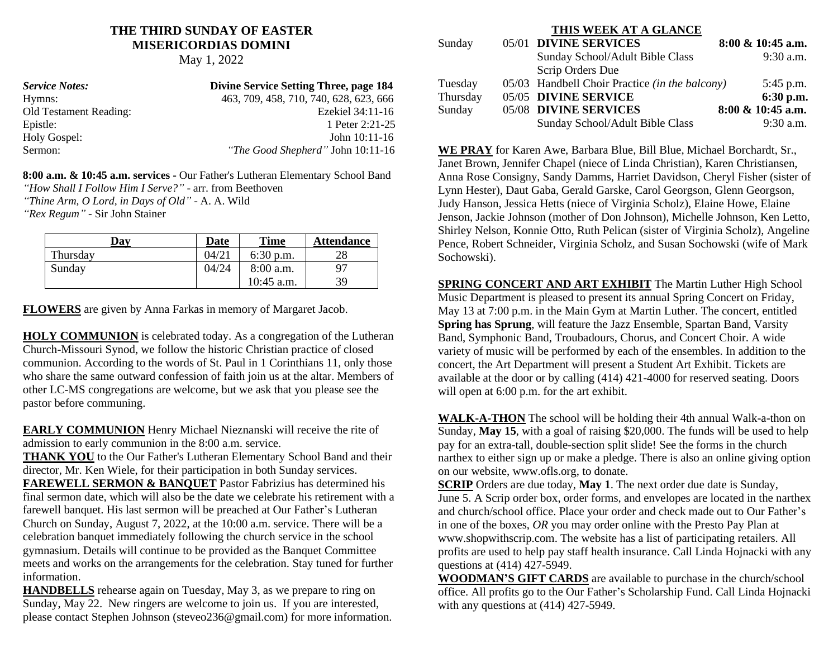## **THE THIRD SUNDAY OF EASTER MISERICORDIAS DOMINI**

May 1, 2022

| <b>Service Notes:</b>         | <b>Divine Service Setting Three, page 184</b> |
|-------------------------------|-----------------------------------------------|
| Hymns:                        | 463, 709, 458, 710, 740, 628, 623, 666        |
| <b>Old Testament Reading:</b> | Ezekiel 34:11-16                              |
| Epistle:                      | 1 Peter 2:21-25                               |
| Holy Gospel:                  | John $10:11-16$                               |
| Sermon:                       | <i>"The Good Shepherd"</i> John 10:11-16      |

**8:00 a.m. & 10:45 a.m. services -** Our Father's Lutheran Elementary School Band *"How Shall I Follow Him I Serve?"* - arr. from Beethoven *"Thine Arm, O Lord, in Days of Old"* - A. A. Wild *"Rex Regum"* - Sir John Stainer

| Day      | Date  | <b>Time</b> | <b>Attendance</b> |
|----------|-------|-------------|-------------------|
| Thursday | 04/21 | $6:30$ p.m. | 28                |
| Sunday   | 04/24 | 8:00 a.m.   | 97                |
|          |       | 10:45 a.m.  | 39                |

**FLOWERS** are given by Anna Farkas in memory of Margaret Jacob.

**HOLY COMMUNION** is celebrated today. As a congregation of the Lutheran Church-Missouri Synod, we follow the historic Christian practice of closed communion. According to the words of St. Paul in 1 Corinthians 11, only those who share the same outward confession of faith join us at the altar. Members of other LC-MS congregations are welcome, but we ask that you please see the pastor before communing.

**EARLY COMMUNION** Henry Michael Nieznanski will receive the rite of admission to early communion in the 8:00 a.m. service.

**THANK YOU** to the Our Father's Lutheran Elementary School Band and their director, Mr. Ken Wiele, for their participation in both Sunday services.

**FAREWELL SERMON & BANQUET** Pastor Fabrizius has determined his final sermon date, which will also be the date we celebrate his retirement with a farewell banquet. His last sermon will be preached at Our Father's Lutheran Church on Sunday, August 7, 2022, at the 10:00 a.m. service. There will be a celebration banquet immediately following the church service in the school gymnasium. Details will continue to be provided as the Banquet Committee meets and works on the arrangements for the celebration. Stay tuned for further information.

**HANDBELLS** rehearse again on Tuesday, May 3, as we prepare to ring on Sunday, May 22. New ringers are welcome to join us. If you are interested, please contact Stephen Johnson (steveo236@gmail.com) for more information.

#### **THIS WEEK AT A GLANCE**

| Sunday   | 05/01 DIVINE SERVICES                          | 8:00 & 10:45 a.m.    |
|----------|------------------------------------------------|----------------------|
|          | Sunday School/Adult Bible Class                | $9:30$ a.m.          |
|          | Scrip Orders Due                               |                      |
| Tuesday  | 05/03 Handbell Choir Practice (in the balcony) | $5:45$ p.m.          |
| Thursday | 05/05 DIVINE SERVICE                           | 6:30 p.m.            |
| Sunday   | 05/08 DIVINE SERVICES                          | $8:00 \& 10:45$ a.m. |
|          | Sunday School/Adult Bible Class                | $9:30$ a.m.          |

**WE PRAY** for Karen Awe, Barbara Blue, Bill Blue, Michael Borchardt, Sr., Janet Brown, Jennifer Chapel (niece of Linda Christian), Karen Christiansen, Anna Rose Consigny, Sandy Damms, Harriet Davidson, Cheryl Fisher (sister of Lynn Hester), Daut Gaba, Gerald Garske, Carol Georgson, Glenn Georgson, Judy Hanson, Jessica Hetts (niece of Virginia Scholz), Elaine Howe, Elaine Jenson, Jackie Johnson (mother of Don Johnson), Michelle Johnson, Ken Letto, Shirley Nelson, Konnie Otto, Ruth Pelican (sister of Virginia Scholz), Angeline Pence, Robert Schneider, Virginia Scholz, and Susan Sochowski (wife of Mark Sochowski).

**SPRING CONCERT AND ART EXHIBIT** The Martin Luther High School Music Department is pleased to present its annual Spring Concert on Friday, May 13 at 7:00 p.m. in the Main Gym at Martin Luther. The concert, entitled **Spring has Sprung**, will feature the Jazz Ensemble, Spartan Band, Varsity Band, Symphonic Band, Troubadours, Chorus, and Concert Choir. A wide variety of music will be performed by each of the ensembles. In addition to the concert, the Art Department will present a Student Art Exhibit. Tickets are available at the door or by calling (414) 421-4000 for reserved seating. Doors will open at 6:00 p.m. for the art exhibit.

**WALK-A-THON** The school will be holding their 4th annual Walk-a-thon on Sunday, **May 15**, with a goal of raising \$20,000. The funds will be used to help pay for an extra-tall, double-section split slide! See the forms in the church narthex to either sign up or make a pledge. There is also an online giving option on our website, www.ofls.org, to donate.

**SCRIP** Orders are due today, **May 1**. The next order due date is Sunday, June 5. A Scrip order box, order forms, and envelopes are located in the narthex and church/school office. Place your order and check made out to Our Father's in one of the boxes, *OR* you may order online with the Presto Pay Plan at www.shopwithscrip.com. The website has a list of participating retailers. All profits are used to help pay staff health insurance. Call Linda Hojnacki with any questions at (414) 427-5949.

**WOODMAN'S GIFT CARDS** are available to purchase in the church/school office. All profits go to the Our Father's Scholarship Fund. Call Linda Hojnacki with any questions at  $(414)$  427-5949.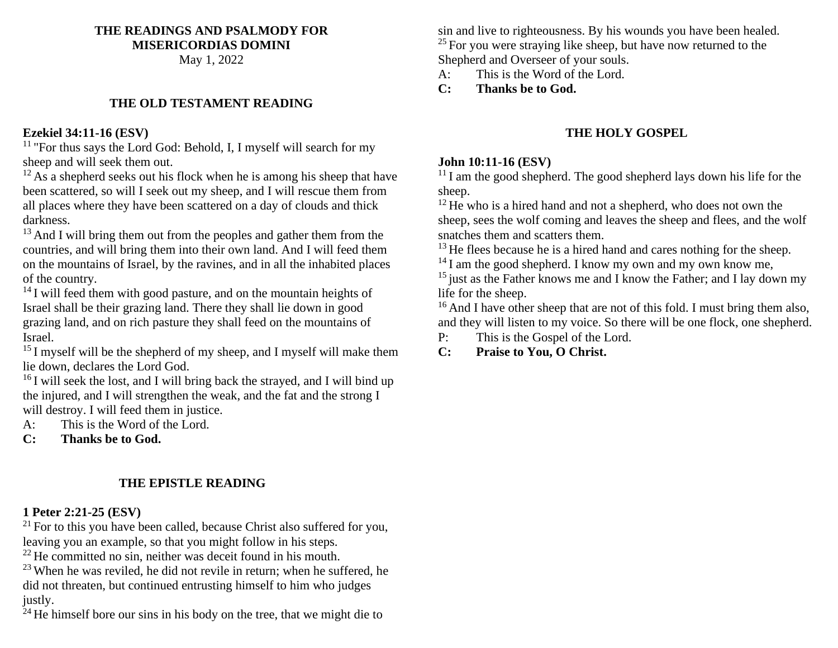# **THE READINGS AND PSALMODY FOR MISERICORDIAS DOMINI**

May 1, 2022

## **THE OLD TESTAMENT READING**

## **Ezekiel 34:11-16 (ESV)**

 $11$  "For thus says the Lord God: Behold, I, I myself will search for my sheep and will seek them out.

 $12$ As a shepherd seeks out his flock when he is among his sheep that have been scattered, so will I seek out my sheep, and I will rescue them from all places where they have been scattered on a day of clouds and thick darkness.

<sup>13</sup> And I will bring them out from the peoples and gather them from the countries, and will bring them into their own land. And I will feed them on the mountains of Israel, by the ravines, and in all the inhabited places of the country.

 $14$ I will feed them with good pasture, and on the mountain heights of Israel shall be their grazing land. There they shall lie down in good grazing land, and on rich pasture they shall feed on the mountains of Israel.

<sup>15</sup>I myself will be the shepherd of my sheep, and I myself will make them lie down, declares the Lord God.

<sup>16</sup>I will seek the lost, and I will bring back the strayed, and I will bind up the injured, and I will strengthen the weak, and the fat and the strong I will destroy. I will feed them in justice.

A: This is the Word of the Lord.

**C: Thanks be to God.**

## **THE EPISTLE READING**

## **1 Peter 2:21-25 (ESV)**

 $21$  For to this you have been called, because Christ also suffered for you, leaving you an example, so that you might follow in his steps.

 $22$  He committed no sin, neither was deceit found in his mouth.

 $23$  When he was reviled, he did not revile in return; when he suffered, he did not threaten, but continued entrusting himself to him who judges justly.

 $24$  He himself bore our sins in his body on the tree, that we might die to

sin and live to righteousness. By his wounds you have been healed.  $25$  For you were straying like sheep, but have now returned to the Shepherd and Overseer of your souls.

- A: This is the Word of the Lord.
- **C: Thanks be to God.**

## **THE HOLY GOSPEL**

## **John 10:11-16 (ESV)**

 $11$ I am the good shepherd. The good shepherd lays down his life for the sheep.

<sup>12</sup> He who is a hired hand and not a shepherd, who does not own the sheep, sees the wolf coming and leaves the sheep and flees, and the wolf snatches them and scatters them.

 $13$  He flees because he is a hired hand and cares nothing for the sheep.

 $14$ I am the good shepherd. I know my own and my own know me,

 $15$  just as the Father knows me and I know the Father; and I lay down my life for the sheep.

<sup>16</sup> And I have other sheep that are not of this fold. I must bring them also, and they will listen to my voice. So there will be one flock, one shepherd.

P: This is the Gospel of the Lord.

**C: Praise to You, O Christ.**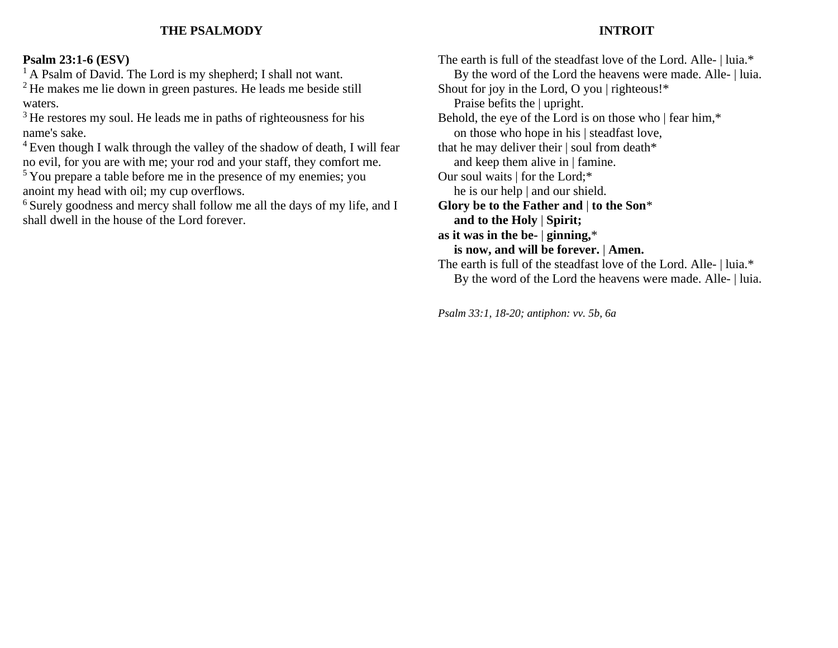### **THE PSALMODY**

#### **INTROIT**

#### **Psalm 23:1-6 (ESV)**

 $<sup>1</sup>$  A Psalm of David. The Lord is my shepherd; I shall not want.</sup>  $2$ <sup>2</sup> He makes me lie down in green pastures. He leads me beside still waters.

<sup>3</sup>He restores my soul. He leads me in paths of righteousness for his name's sake.

<sup>4</sup> Even though I walk through the valley of the shadow of death, I will fear no evil, for you are with me; your rod and your staff, they comfort me.

<sup>5</sup>You prepare a table before me in the presence of my enemies; you anoint my head with oil; my cup overflows.

<sup>6</sup> Surely goodness and mercy shall follow me all the days of my life, and I shall dwell in the house of the Lord forever.

The earth is full of the steadfast love of the Lord. Alle- | luia.<sup>\*</sup> By the word of the Lord the heavens were made. Alle- | luia. Shout for joy in the Lord, O you | righteous!\* Praise befits the | upright. Behold, the eye of the Lord is on those who | fear him,\* on those who hope in his | steadfast love, that he may deliver their | soul from death\* and keep them alive in | famine. Our soul waits | for the Lord;\* he is our help | and our shield. **Glory be to the Father and** | **to the Son**\*  **and to the Holy** | **Spirit; as it was in the be-** | **ginning,**\*  **is now, and will be forever.** | **Amen.** The earth is full of the steadfast love of the Lord. Alle- | luia.\* By the word of the Lord the heavens were made. Alle- | luia.

*Psalm 33:1, 18-20; antiphon: vv. 5b, 6a*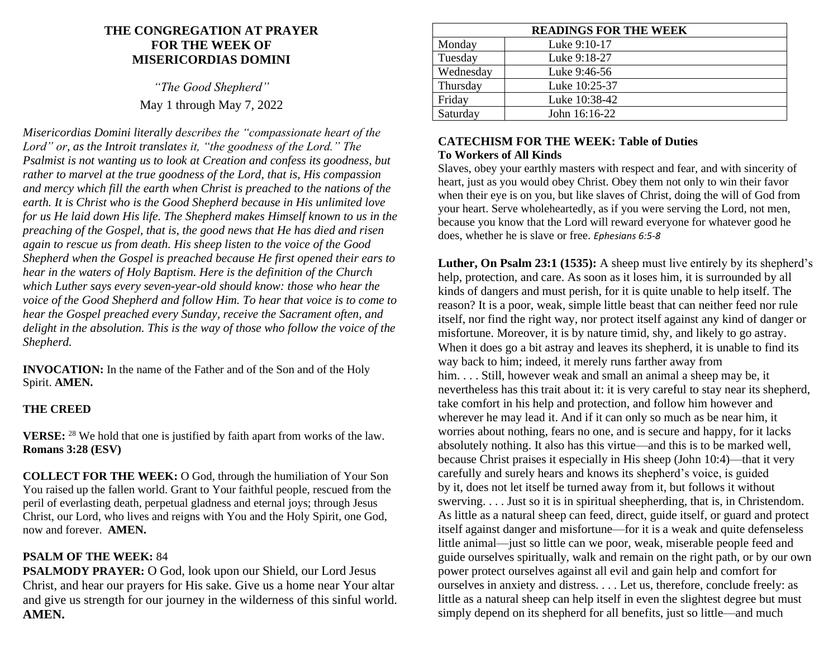### **THE CONGREGATION AT PRAYER FOR THE WEEK OF MISERICORDIAS DOMINI**

*"The Good Shepherd"* May 1 through May 7, 2022

*Misericordias Domini literally describes the "compassionate heart of the Lord" or, as the Introit translates it, "the goodness of the Lord." The Psalmist is not wanting us to look at Creation and confess its goodness, but rather to marvel at the true goodness of the Lord, that is, His compassion and mercy which fill the earth when Christ is preached to the nations of the earth. It is Christ who is the Good Shepherd because in His unlimited love for us He laid down His life. The Shepherd makes Himself known to us in the preaching of the Gospel, that is, the good news that He has died and risen again to rescue us from death. His sheep listen to the voice of the Good Shepherd when the Gospel is preached because He first opened their ears to hear in the waters of Holy Baptism. Here is the definition of the Church which Luther says every seven-year-old should know: those who hear the voice of the Good Shepherd and follow Him. To hear that voice is to come to hear the Gospel preached every Sunday, receive the Sacrament often, and delight in the absolution. This is the way of those who follow the voice of the Shepherd.*

**INVOCATION:** In the name of the Father and of the Son and of the Holy Spirit. **AMEN.**

#### **THE CREED**

**VERSE:** <sup>28</sup> We hold that one is justified by faith apart from works of the law. **Romans 3:28 (ESV)**

**COLLECT FOR THE WEEK:** O God, through the humiliation of Your Son You raised up the fallen world. Grant to Your faithful people, rescued from the peril of everlasting death, perpetual gladness and eternal joys; through Jesus Christ, our Lord, who lives and reigns with You and the Holy Spirit, one God, now and forever. **AMEN.**

### **PSALM OF THE WEEK:** 84

**PSALMODY PRAYER:** O God, look upon our Shield, our Lord Jesus Christ, and hear our prayers for His sake. Give us a home near Your altar and give us strength for our journey in the wilderness of this sinful world. **AMEN.**

| <b>READINGS FOR THE WEEK</b> |               |
|------------------------------|---------------|
| Monday                       | Luke 9:10-17  |
| Tuesday                      | Luke 9:18-27  |
| Wednesday                    | Luke 9:46-56  |
| Thursday                     | Luke 10:25-37 |
| Friday                       | Luke 10:38-42 |
| Saturday                     | John 16:16-22 |

### **CATECHISM FOR THE WEEK: Table of Duties To Workers of All Kinds**

Slaves, obey your earthly masters with respect and fear, and with sincerity of heart, just as you would obey Christ. Obey them not only to win their favor when their eye is on you, but like slaves of Christ, doing the will of God from your heart. Serve wholeheartedly, as if you were serving the Lord, not men, because you know that the Lord will reward everyone for whatever good he does, whether he is slave or free. *Ephesians 6:5-8*

**Luther, On Psalm 23:1 (1535):** A sheep must live entirely by its shepherd's help, protection, and care. As soon as it loses him, it is surrounded by all kinds of dangers and must perish, for it is quite unable to help itself. The reason? It is a poor, weak, simple little beast that can neither feed nor rule itself, nor find the right way, nor protect itself against any kind of danger or misfortune. Moreover, it is by nature timid, shy, and likely to go astray. When it does go a bit astray and leaves its shepherd, it is unable to find its way back to him; indeed, it merely runs farther away from him. . . . Still, however weak and small an animal a sheep may be, it nevertheless has this trait about it: it is very careful to stay near its shepherd, take comfort in his help and protection, and follow him however and wherever he may lead it. And if it can only so much as be near him, it worries about nothing, fears no one, and is secure and happy, for it lacks absolutely nothing. It also has this virtue—and this is to be marked well, because Christ praises it especially in His sheep (John 10:4)—that it very carefully and surely hears and knows its shepherd's voice, is guided by it, does not let itself be turned away from it, but follows it without swerving. . . . Just so it is in spiritual sheepherding, that is, in Christendom. As little as a natural sheep can feed, direct, guide itself, or guard and protect itself against danger and misfortune—for it is a weak and quite defenseless little animal—just so little can we poor, weak, miserable people feed and guide ourselves spiritually, walk and remain on the right path, or by our own power protect ourselves against all evil and gain help and comfort for ourselves in anxiety and distress. . . . Let us, therefore, conclude freely: as little as a natural sheep can help itself in even the slightest degree but must simply depend on its shepherd for all benefits, just so little—and much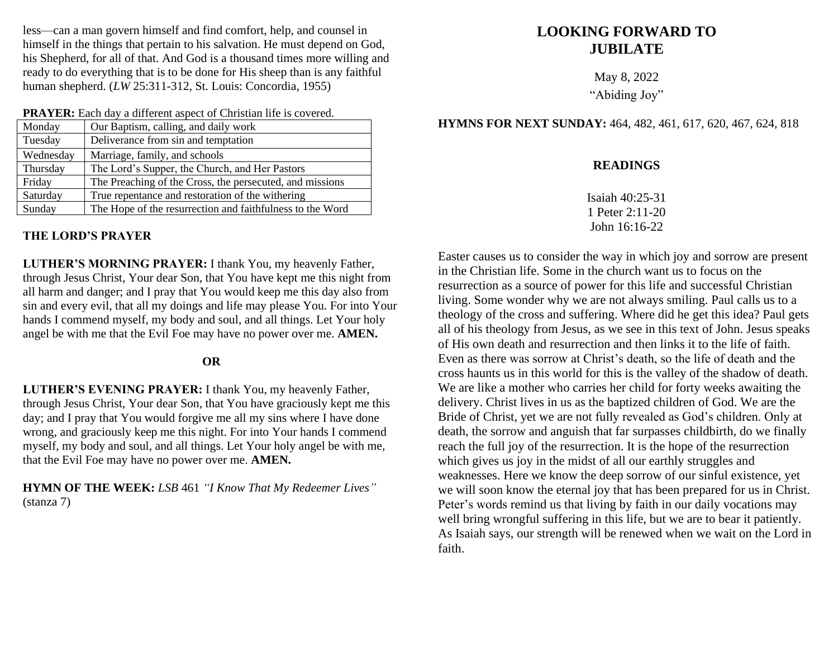less—can a man govern himself and find comfort, help, and counsel in himself in the things that pertain to his salvation. He must depend on God, his Shepherd, for all of that. And God is a thousand times more willing and ready to do everything that is to be done for His sheep than is any faithful human shepherd. (*LW* 25:311-312, St. Louis: Concordia, 1955)

| Monday    | Our Baptism, calling, and daily work                      |
|-----------|-----------------------------------------------------------|
| Tuesday   | Deliverance from sin and temptation                       |
| Wednesday | Marriage, family, and schools                             |
| Thursday  | The Lord's Supper, the Church, and Her Pastors            |
| Friday    | The Preaching of the Cross, the persecuted, and missions  |
| Saturday  | True repentance and restoration of the withering          |
| Sunday    | The Hope of the resurrection and faithfulness to the Word |
|           |                                                           |

### **THE LORD'S PRAYER**

**LUTHER'S MORNING PRAYER:** I thank You, my heavenly Father, through Jesus Christ, Your dear Son, that You have kept me this night from all harm and danger; and I pray that You would keep me this day also from sin and every evil, that all my doings and life may please You. For into Your hands I commend myself, my body and soul, and all things. Let Your holy angel be with me that the Evil Foe may have no power over me. **AMEN.** 

#### **OR**

**LUTHER'S EVENING PRAYER:** I thank You, my heavenly Father, through Jesus Christ, Your dear Son, that You have graciously kept me this day; and I pray that You would forgive me all my sins where I have done wrong, and graciously keep me this night. For into Your hands I commend myself, my body and soul, and all things. Let Your holy angel be with me, that the Evil Foe may have no power over me. **AMEN.**

**HYMN OF THE WEEK:** *LSB* 461 *"I Know That My Redeemer Lives"* (stanza 7)

# **LOOKING FORWARD TO JUBILATE**

May 8, 2022 "Abiding Joy"

**HYMNS FOR NEXT SUNDAY:** 464, 482, 461, 617, 620, 467, 624, 818

## **READINGS**

Isaiah 40:25-31 1 Peter 2:11-20 John 16:16-22

Easter causes us to consider the way in which joy and sorrow are present in the Christian life. Some in the church want us to focus on the resurrection as a source of power for this life and successful Christian living. Some wonder why we are not always smiling. Paul calls us to a theology of the cross and suffering. Where did he get this idea? Paul gets all of his theology from Jesus, as we see in this text of John. Jesus speaks of His own death and resurrection and then links it to the life of faith. Even as there was sorrow at Christ's death, so the life of death and the cross haunts us in this world for this is the valley of the shadow of death. We are like a mother who carries her child for forty weeks awaiting the delivery. Christ lives in us as the baptized children of God. We are the Bride of Christ, yet we are not fully revealed as God's children. Only at death, the sorrow and anguish that far surpasses childbirth, do we finally reach the full joy of the resurrection. It is the hope of the resurrection which gives us joy in the midst of all our earthly struggles and weaknesses. Here we know the deep sorrow of our sinful existence, yet we will soon know the eternal joy that has been prepared for us in Christ. Peter's words remind us that living by faith in our daily vocations may well bring wrongful suffering in this life, but we are to bear it patiently. As Isaiah says, our strength will be renewed when we wait on the Lord in faith.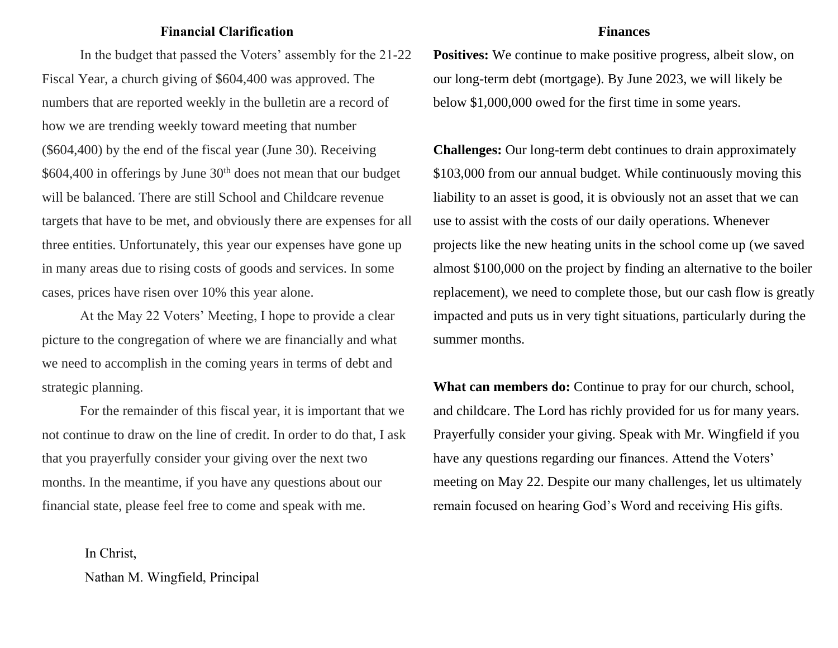### **Financial Clarification**

In the budget that passed the Voters' assembly for the 21-22 Fiscal Year, a church giving of \$604,400 was approved. The numbers that are reported weekly in the bulletin are a record of how we are trending weekly toward meeting that number (\$604,400) by the end of the fiscal year (June 30). Receiving  $$604,400$  in offerings by June  $30<sup>th</sup>$  does not mean that our budget will be balanced. There are still School and Childcare revenue targets that have to be met, and obviously there are expenses for all three entities. Unfortunately, this year our expenses have gone up in many areas due to rising costs of goods and services. In some cases, prices have risen over 10% this year alone.

At the May 22 Voters' Meeting, I hope to provide a clear picture to the congregation of where we are financially and what we need to accomplish in the coming years in terms of debt and strategic planning.

For the remainder of this fiscal year, it is important that we not continue to draw on the line of credit. In order to do that, I ask that you prayerfully consider your giving over the next two months. In the meantime, if you have any questions about our financial state, please feel free to come and speak with me.

> In Christ, Nathan M. Wingfield, Principal

### **Finances**

**Positives:** We continue to make positive progress, albeit slow, on our long-term debt (mortgage). By June 2023, we will likely be below \$1,000,000 owed for the first time in some years.

**Challenges:** Our long-term debt continues to drain approximately \$103,000 from our annual budget. While continuously moving this liability to an asset is good, it is obviously not an asset that we can use to assist with the costs of our daily operations. Whenever projects like the new heating units in the school come up (we saved almost \$100,000 on the project by finding an alternative to the boiler replacement), we need to complete those, but our cash flow is greatly impacted and puts us in very tight situations, particularly during the summer months.

**What can members do:** Continue to pray for our church, school, and childcare. The Lord has richly provided for us for many years. Prayerfully consider your giving. Speak with Mr. Wingfield if you have any questions regarding our finances. Attend the Voters' meeting on May 22. Despite our many challenges, let us ultimately remain focused on hearing God's Word and receiving His gifts.